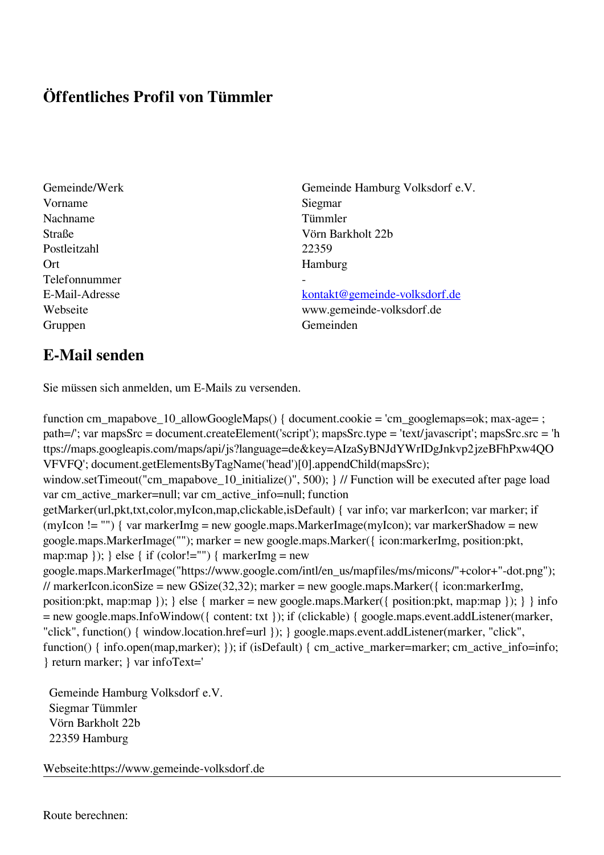## **Öffentliches Profil von Tümmler**

Vorname Siegmar Nachname Tümmler Postleitzahl 22359 Ort Hamburg Telefonnummer - Gruppen Gemeinden Gemeinden Gemeinden Gemeinden Gemeinden Gemeinden Gemeinden Gemeinden Gemeinden Gemeinden G

Gemeinde/Werk Gemeinde Hamburg Volksdorf e.V. Straße Vörn Barkholt 22b

E-Mail-Adresse [kontakt@gemeinde-volksdorf.de](mailto:kontakt@gemeinde-volksdorf.de) Webseite www.gemeinde-volksdorf.de

## **E-Mail senden**

Sie müssen sich anmelden, um E-Mails zu versenden.

function cm\_mapabove\_10\_allowGoogleMaps() { document.cookie = 'cm\_googlemaps=ok; max-age= ; path=/'; var mapsSrc = document.createElement('script'); mapsSrc.type = 'text/javascript'; mapsSrc.src = 'h ttps://maps.googleapis.com/maps/api/js?language=de&key=AIzaSyBNJdYWrIDgJnkvp2jzeBFhPxw4QO VFVFQ'; document.getElementsByTagName('head')[0].appendChild(mapsSrc); window.setTimeout("cm\_mapabove\_10\_initialize()", 500); } // Function will be executed after page load var cm\_active\_marker=null; var cm\_active\_info=null; function getMarker(url,pkt,txt,color,myIcon,map,clickable,isDefault) { var info; var markerIcon; var marker; if (myIcon != "") { var markerImg = new google.maps.MarkerImage(myIcon); var markerShadow = new google.maps.MarkerImage(""); marker = new google.maps.Marker({ icon:markerImg, position:pkt, map:map  $\}$ ;  $\}$  else  $\{$  if (color!="")  $\{$  markerImg = new google.maps.MarkerImage("https://www.google.com/intl/en\_us/mapfiles/ms/micons/"+color+"-dot.png"); // markerIcon.iconSize = new GSize(32,32); marker = new google.maps.Marker({ $i$ con:markerImg, position:pkt, map:map }); } else { marker = new google.maps.Marker({ position:pkt, map:map }); } } info = new google.maps.InfoWindow({ content: txt }); if (clickable) { google.maps.event.addListener(marker, "click", function() { window.location.href=url }); } google.maps.event.addListener(marker, "click", function() { info.open(map,marker); }); if (isDefault) { cm\_active\_marker=marker; cm\_active\_info=info; } return marker; } var infoText='

 Gemeinde Hamburg Volksdorf e.V. Siegmar Tümmler Vörn Barkholt 22b 22359 Hamburg

Webseite:https://www.gemeinde-volksdorf.de